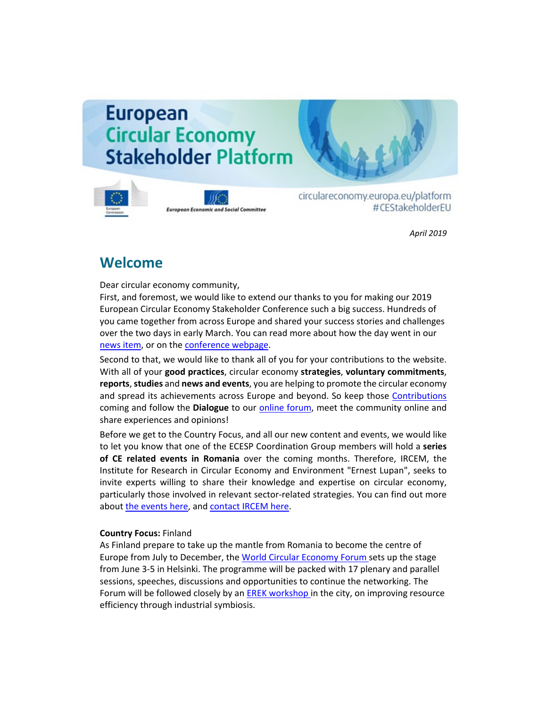# **European Circular Economy Stakeholder Platform**



**European Economic and Social Committee** 

circulareconomy.europa.eu/platform #CEStakeholderEU

*April 2019*

# **Welcome**

Dear circular economy community,

First, and foremost, we would like to extend our thanks to you for making our 2019 European Circular Economy Stakeholder Conference such a big success. Hundreds of you came together from across Europe and shared your success stories and challenges over the two days in early March. You can read more about how the day went in our [news item,](http://cdlink2.eesc.europa.eu/c/4/?T=NzYyODI4NzE%3AcDEtYjE5MTE0LTk1ZmRmMzZmYTIyODRjYTU4NDNmZjczNDc2NmY3MmRm%3AbGF1cmEuYnJvb21maWVsZEBlZXNjLmV1cm9wYS5ldQ%3AY29udGFjdC0zYzJhYzdkYmRlMDZlODExODExMzAwNTA1NmEwNDNlYS0zMjI3Y2UyNjFjNWE0YjBmOTgyMDg1MDU2YTZmMmM2MQ%3AZmFsc2U%3AMQ%3A%3AaHR0cHM6Ly9jaXJjdWxhcmVjb25vbXkuZXVyb3BhLmV1L3BsYXRmb3JtL2VuL25ld3MtYW5kLWV2ZW50cy9hbGwtbmV3cy9ldXJvcGVzLWNpcmN1bGFyLWVjb25vbXktbmV0d29yay1uZXR3b3Jrcy1yaXNlcy1jaGFsbGVuZ2UtY2lyY3VsYXItdHJhbnNpdGlvbj9fY2xkZWU9YkdGMWNtRXVZbkp2YjIxbWFXVnNaRUJsWlhOakxtVjFjbTl3WVM1bGRRJTNkJTNkJnJlY2lwaWVudGlkPWNvbnRhY3QtM2MyYWM3ZGJkZTA2ZTgxMTgxMTMwMDUwNTZhMDQzZWEtMzIyN2NlMjYxYzVhNGIwZjk4MjA4NTA1NmE2ZjJjNjEmZXNpZD04NWQzNzcyZC1hMjY1LWU5MTEtODExMy0wMDUwNTZhMDQzZWE&K=hSxVMiq7Wl4Yj6JvFOA-zQ) or on the [conference webpage.](http://cdlink2.eesc.europa.eu/c/4/?T=NzYyODI4NzE%3AcDEtYjE5MTE0LTk1ZmRmMzZmYTIyODRjYTU4NDNmZjczNDc2NmY3MmRm%3AbGF1cmEuYnJvb21maWVsZEBlZXNjLmV1cm9wYS5ldQ%3AY29udGFjdC0zYzJhYzdkYmRlMDZlODExODExMzAwNTA1NmEwNDNlYS0zMjI3Y2UyNjFjNWE0YjBmOTgyMDg1MDU2YTZmMmM2MQ%3AZmFsc2U%3AMg%3A%3AaHR0cHM6Ly9jaXJjdWxhcmVjb25vbXkuZXVyb3BhLmV1L3BsYXRmb3JtL2VuLzIwMTktY2lyY3VsYXItZWNvbm9teS1zdGFrZWhvbGRlci1jb25mZXJlbmNlLXN1Y2Nlc3Mtc3Rvcmllcy1hbmQtbmV3LWNoYWxsZW5nZXM_X2NsZGVlPWJHRjFjbUV1WW5KdmIyMW1hV1ZzWkVCbFpYTmpMbVYxY205d1lTNWxkUSUzZCUzZCZyZWNpcGllbnRpZD1jb250YWN0LTNjMmFjN2RiZGUwNmU4MTE4MTEzMDA1MDU2YTA0M2VhLTMyMjdjZTI2MWM1YTRiMGY5ODIwODUwNTZhNmYyYzYxJmVzaWQ9ODVkMzc3MmQtYTI2NS1lOTExLTgxMTMtMDA1MDU2YTA0M2Vh&K=6CyPek83EabzQyu4ke9dZQ)

Second to that, we would like to thank all of you for your contributions to the website. With all of your **good practices**, circular economy **strategies**, **voluntary commitments**, **reports**, **studies** and **news and events**, you are helping to promote the circular economy and spread its achievements across Europe and beyond. So keep those [Contributions](http://cdlink2.eesc.europa.eu/c/4/?T=NzYyODI4NzE%3AcDEtYjE5MTE0LTk1ZmRmMzZmYTIyODRjYTU4NDNmZjczNDc2NmY3MmRm%3AbGF1cmEuYnJvb21maWVsZEBlZXNjLmV1cm9wYS5ldQ%3AY29udGFjdC0zYzJhYzdkYmRlMDZlODExODExMzAwNTA1NmEwNDNlYS0zMjI3Y2UyNjFjNWE0YjBmOTgyMDg1MDU2YTZmMmM2MQ%3AZmFsc2U%3AMw%3A%3AaHR0cHM6Ly9jaXJjdWxhcmVjb25vbXkuZXVyb3BhLmV1L3BsYXRmb3JtL2VuL3N1Ym1pdC1jb250ZW50LTA_X2NsZGVlPWJHRjFjbUV1WW5KdmIyMW1hV1ZzWkVCbFpYTmpMbVYxY205d1lTNWxkUSUzZCUzZCZyZWNpcGllbnRpZD1jb250YWN0LTNjMmFjN2RiZGUwNmU4MTE4MTEzMDA1MDU2YTA0M2VhLWFhMDNhM2ZkODViYTQ4MGNhOTRkNzNlNGFhNTcwNTM3JmVzaWQ9ZTNjZWU4Y2QtYWUyYi1lOTExLTgxMTMtMDA1MDU2YTA0M2VhJl9jbGRlZT1iR0YxY21FdVluSnZiMjFtYVdWc1pFQmxaWE5qTG1WMWNtOXdZUzVsZFElM2QlM2QmcmVjaXBpZW50aWQ9Y29udGFjdC0zYzJhYzdkYmRlMDZlODExODExMzAwNTA1NmEwNDNlYS0zMjI3Y2UyNjFjNWE0YjBmOTgyMDg1MDU2YTZmMmM2MSZlc2lkPTg1ZDM3NzJkLWEyNjUtZTkxMS04MTEzLTAwNTA1NmEwNDNlYQ&K=ch4-Tan4RwOfezS2t9JZOQ) coming and follow the **Dialogue** to our [online forum,](http://cdlink2.eesc.europa.eu/c/4/?T=NzYyODI4NzE%3AcDEtYjE5MTE0LTk1ZmRmMzZmYTIyODRjYTU4NDNmZjczNDc2NmY3MmRm%3AbGF1cmEuYnJvb21maWVsZEBlZXNjLmV1cm9wYS5ldQ%3AY29udGFjdC0zYzJhYzdkYmRlMDZlODExODExMzAwNTA1NmEwNDNlYS0zMjI3Y2UyNjFjNWE0YjBmOTgyMDg1MDU2YTZmMmM2MQ%3AZmFsc2U%3ANA%3A%3AaHR0cHM6Ly9jaXJjdWxhcmVjb25vbXkuZXVyb3BhLmV1L3BsYXRmb3JtL2ZyL2RpYWxvZ3VlL2Rpc2N1c3Npb25zP19jbGRlZT1iR0YxY21FdVluSnZiMjFtYVdWc1pFQmxaWE5qTG1WMWNtOXdZUzVsZFElM2QlM2QmcmVjaXBpZW50aWQ9Y29udGFjdC0zYzJhYzdkYmRlMDZlODExODExMzAwNTA1NmEwNDNlYS1hYTAzYTNmZDg1YmE0ODBjYTk0ZDczZTRhYTU3MDUzNyZlc2lkPWUzY2VlOGNkLWFlMmItZTkxMS04MTEzLTAwNTA1NmEwNDNlYSZfY2xkZWU9YkdGMWNtRXVZbkp2YjIxbWFXVnNaRUJsWlhOakxtVjFjbTl3WVM1bGRRJTNkJTNkJnJlY2lwaWVudGlkPWNvbnRhY3QtM2MyYWM3ZGJkZTA2ZTgxMTgxMTMwMDUwNTZhMDQzZWEtMzIyN2NlMjYxYzVhNGIwZjk4MjA4NTA1NmE2ZjJjNjEmZXNpZD04NWQzNzcyZC1hMjY1LWU5MTEtODExMy0wMDUwNTZhMDQzZWE&K=bft7LaELsbI2X10YTtU6_w) meet the community online and share experiences and opinions!

Before we get to the Country Focus, and all our new content and events, we would like to let you know that one of the ECESP Coordination Group members will hold a **series of CE related events in Romania** over the coming months. Therefore, IRCEM, the Institute for Research in Circular Economy and Environment "Ernest Lupan", seeks to invite experts willing to share their knowledge and expertise on circular economy, particularly those involved in relevant sector-related strategies. You can find out more abou[t the events here,](http://cdlink2.eesc.europa.eu/c/4/?T=NzYyODI4NzE%3AcDEtYjE5MTE0LTk1ZmRmMzZmYTIyODRjYTU4NDNmZjczNDc2NmY3MmRm%3AbGF1cmEuYnJvb21maWVsZEBlZXNjLmV1cm9wYS5ldQ%3AY29udGFjdC0zYzJhYzdkYmRlMDZlODExODExMzAwNTA1NmEwNDNlYS0zMjI3Y2UyNjFjNWE0YjBmOTgyMDg1MDU2YTZmMmM2MQ%3AZmFsc2U%3ANQ%3A%3AaHR0cHM6Ly93d3cuaXJjZW0ucm8vcm9hZG1hcC1mb3ItZGV2ZWxvcGluZy1hLXN0cmF0ZWd5LW9uLXRoZS1jaXJjdWxhci1lY29ub215LWluLXJvbWFuaWEtZW4vP19jbGRlZT1iR0YxY21FdVluSnZiMjFtYVdWc1pFQmxaWE5qTG1WMWNtOXdZUzVsZFElM2QlM2QmcmVjaXBpZW50aWQ9Y29udGFjdC0zYzJhYzdkYmRlMDZlODExODExMzAwNTA1NmEwNDNlYS0zMjI3Y2UyNjFjNWE0YjBmOTgyMDg1MDU2YTZmMmM2MSZlc2lkPTg1ZDM3NzJkLWEyNjUtZTkxMS04MTEzLTAwNTA1NmEwNDNlYQ&K=hIUoqNfRzp2Cv4oJLQ15WQ) and [contact IRCEM here.](http://cdlink2.eesc.europa.eu/c/4/?T=NzYyODI4NzE%3AcDEtYjE5MTE0LTk1ZmRmMzZmYTIyODRjYTU4NDNmZjczNDc2NmY3MmRm%3AbGF1cmEuYnJvb21maWVsZEBlZXNjLmV1cm9wYS5ldQ%3AY29udGFjdC0zYzJhYzdkYmRlMDZlODExODExMzAwNTA1NmEwNDNlYS0zMjI3Y2UyNjFjNWE0YjBmOTgyMDg1MDU2YTZmMmM2MQ%3AZmFsc2U%3ANg%3A%3AaHR0cHM6Ly93d3cuaXJjZW0ucm8vY29udGFjdC0yLz9fY2xkZWU9YkdGMWNtRXVZbkp2YjIxbWFXVnNaRUJsWlhOakxtVjFjbTl3WVM1bGRRJTNkJTNkJnJlY2lwaWVudGlkPWNvbnRhY3QtM2MyYWM3ZGJkZTA2ZTgxMTgxMTMwMDUwNTZhMDQzZWEtMzIyN2NlMjYxYzVhNGIwZjk4MjA4NTA1NmE2ZjJjNjEmZXNpZD04NWQzNzcyZC1hMjY1LWU5MTEtODExMy0wMDUwNTZhMDQzZWE&K=lQti1Vlw_TlRCuPWYUyf1g)

### **Country Focus:** Finland

As Finland prepare to take up the mantle from Romania to become the centre of Europe from July to December, th[e World Circular Economy Forum s](http://cdlink2.eesc.europa.eu/c/4/?T=NzYyODI4NzE%3AcDEtYjE5MTE0LTk1ZmRmMzZmYTIyODRjYTU4NDNmZjczNDc2NmY3MmRm%3AbGF1cmEuYnJvb21maWVsZEBlZXNjLmV1cm9wYS5ldQ%3AY29udGFjdC0zYzJhYzdkYmRlMDZlODExODExMzAwNTA1NmEwNDNlYS0zMjI3Y2UyNjFjNWE0YjBmOTgyMDg1MDU2YTZmMmM2MQ%3AZmFsc2U%3ANw%3A%3AaHR0cHM6Ly9jaXJjdWxhcmVjb25vbXkuZXVyb3BhLmV1L3BsYXRmb3JtL2VuL25ld3MtYW5kLWV2ZW50cy9hbGwtZXZlbnRzL3dvcmxkLWNpcmN1bGFyLWVjb25vbXktZm9ydW0tMjAxOT9fY2xkZWU9YkdGMWNtRXVZbkp2YjIxbWFXVnNaRUJsWlhOakxtVjFjbTl3WVM1bGRRJTNkJTNkJnJlY2lwaWVudGlkPWNvbnRhY3QtM2MyYWM3ZGJkZTA2ZTgxMTgxMTMwMDUwNTZhMDQzZWEtMzIyN2NlMjYxYzVhNGIwZjk4MjA4NTA1NmE2ZjJjNjEmZXNpZD04NWQzNzcyZC1hMjY1LWU5MTEtODExMy0wMDUwNTZhMDQzZWE&K=ZoutBZYVg_I3CJ7xsjf75g)ets up the stage from June 3-5 in Helsinki. The programme will be packed with 17 plenary and parallel sessions, speeches, discussions and opportunities to continue the networking. The Forum will be followed closely by an **EREK workshop** in the city, on improving resource efficiency through industrial symbiosis.